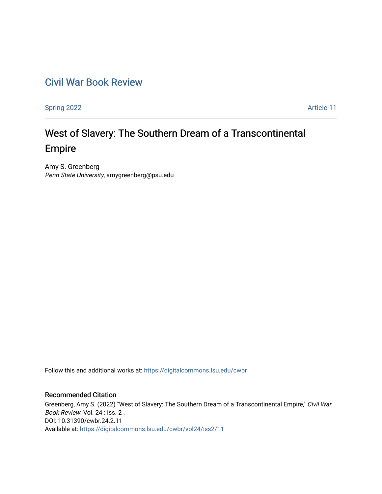## [Civil War Book Review](https://digitalcommons.lsu.edu/cwbr)

[Spring 2022](https://digitalcommons.lsu.edu/cwbr/vol24/iss2) **Article 11** 

# West of Slavery: The Southern Dream of a Transcontinental Empire

Amy S. Greenberg Penn State University, amygreenberg@psu.edu

Follow this and additional works at: [https://digitalcommons.lsu.edu/cwbr](https://digitalcommons.lsu.edu/cwbr?utm_source=digitalcommons.lsu.edu%2Fcwbr%2Fvol24%2Fiss2%2F11&utm_medium=PDF&utm_campaign=PDFCoverPages) 

#### Recommended Citation

Greenberg, Amy S. (2022) "West of Slavery: The Southern Dream of a Transcontinental Empire," Civil War Book Review: Vol. 24 : Iss. 2 . DOI: 10.31390/cwbr.24.2.11 Available at: [https://digitalcommons.lsu.edu/cwbr/vol24/iss2/11](https://digitalcommons.lsu.edu/cwbr/vol24/iss2/11?utm_source=digitalcommons.lsu.edu%2Fcwbr%2Fvol24%2Fiss2%2F11&utm_medium=PDF&utm_campaign=PDFCoverPages)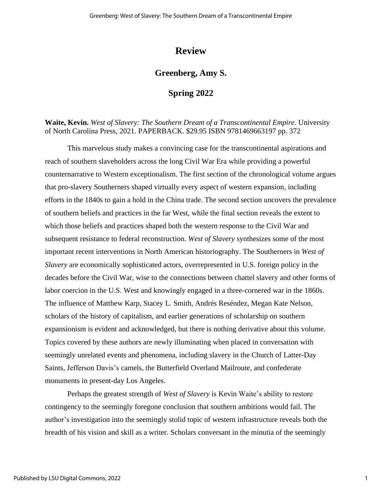## **Review**

### **Greenberg, Amy S.**

#### **Spring 2022**

**Waite, Kevin.** *West of Slavery: The Southern Dream of a Transcontinental Empire.* University of North Carolina Press, 2021. PAPERBACK. \$29.95 ISBN 9781469663197 pp. 372

This marvelous study makes a convincing case for the transcontinental aspirations and reach of southern slaveholders across the long Civil War Era while providing a powerful counternarrative to Western exceptionalism. The first section of the chronological volume argues that pro-slavery Southerners shaped virtually every aspect of western expansion, including efforts in the 1840s to gain a hold in the China trade. The second section uncovers the prevalence of southern beliefs and practices in the far West, while the final section reveals the extent to which those beliefs and practices shaped both the western response to the Civil War and subsequent resistance to federal reconstruction. *West of Slavery* synthesizes some of the most important recent interventions in North American historiography. The Southerners in *West of Slavery* are economically sophisticated actors, overrepresented in U.S. foreign policy in the decades before the Civil War, wise to the connections between chattel slavery and other forms of labor coercion in the U.S. West and knowingly engaged in a three-cornered war in the 1860s. The influence of Matthew Karp, Stacey L. Smith, Andrés Reséndez, Megan Kate Nelson, scholars of the history of capitalism, and earlier generations of scholarship on southern expansionism is evident and acknowledged, but there is nothing derivative about this volume. Topics covered by these authors are newly illuminating when placed in conversation with seemingly unrelated events and phenomena, including slavery in the Church of Latter-Day Saints, Jefferson Davis's camels, the Butterfield Overland Mailroute, and confederate monuments in present-day Los Angeles.

Perhaps the greatest strength of *West of Slavery* is Kevin Waite's ability to restore contingency to the seemingly foregone conclusion that southern ambitions would fail. The author's investigation into the seemingly stolid topic of western infrastructure reveals both the breadth of his vision and skill as a writer. Scholars conversant in the minutia of the seemingly